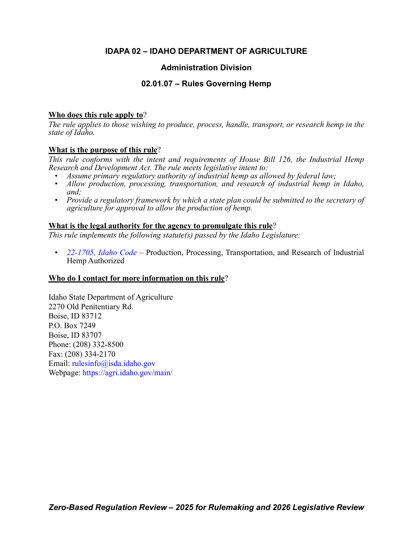# **IDAPA 02 – IDAHO DEPARTMENT OF AGRICULTURE**

# **Administration Division**

# **02.01.07 – Rules Governing Hemp**

# **Who does this rule apply to**?

*The rule applies to those wishing to produce, process, handle, transport, or research hemp in the state of Idaho.*

# **What is the purpose of this rule**?

*This rule conforms with the intent and requirements of House Bill 126, the Industrial Hemp Research and Development Act. The rule meets legislative intent to:*

- *Assume primary regulatory authority of industrial hemp as allowed by federal law;*
- *Allow production, processing, transportation, and research of industrial hemp in Idaho, and;*
- *Provide a regulatory framework by which a state plan could be submitted to the secretary of agriculture for approval to allow the production of hemp.*

# **What is the legal authority for the agency to promulgate this rule**?

*This rule implements the following statute(s) passed by the Idaho Legislature:*

*• [22-1705, Idaho Code](https://legislature.idaho.gov/statutesrules/idstat/Title22/T22CH17/SECT22-1705/) –* Production, Processing, Transportation, and Research of Industrial Hemp Authorized

# **Who do I contact for more information on this rule**?

Idaho State Department of Agriculture 2270 Old Penitentiary Rd. Boise, ID 83712 P.O. Box 7249 Boise, ID 83707 Phone: (208) 332-8500 Fax: (208) 334-2170 Email: [rulesinfo@isda.idaho.gov](mailto: rulesinfo@isda.idaho.gov) Webpage: <https://agri.idaho.gov/main/>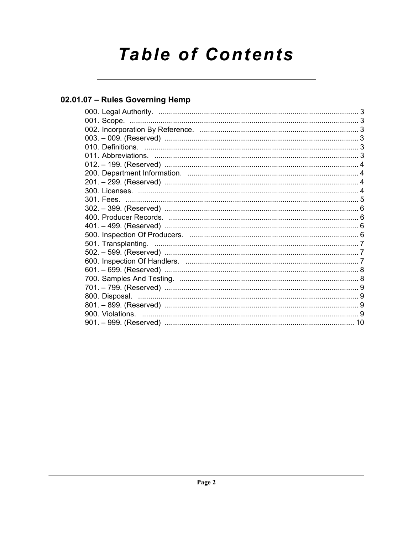# **Table of Contents**

# 02.01.07 - Rules Governing Hemp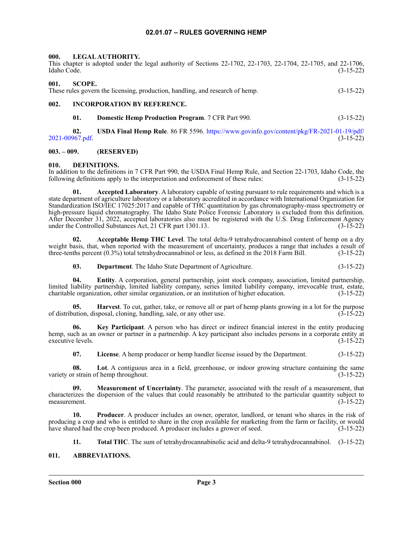### **02.01.07 – RULES GOVERNING HEMP**

#### <span id="page-2-1"></span><span id="page-2-0"></span>**000. LEGAL AUTHORITY.**

|             |  |  |  |  |  |  | This chapter is adopted under the legal authority of Sections 22-1702, 22-1703, 22-1704, 22-1705, and 22-1706, |
|-------------|--|--|--|--|--|--|----------------------------------------------------------------------------------------------------------------|
| Idaho Code. |  |  |  |  |  |  | $(3-15-22)$                                                                                                    |

#### <span id="page-2-2"></span>**001. SCOPE.**

These rules govern the licensing, production, handling, and research of hemp. (3-15-22)

## <span id="page-2-3"></span>**002. INCORPORATION BY REFERENCE.**

**01. Domestic Hemp Production Program**. 7 CFR Part 990. (3-15-22)

**02. USDA Final Hemp Rule**. 86 FR 5596. [https://www.govinfo.gov/content/pkg/FR-2021-01-19/pdf/](https://www.govinfo.gov/content/pkg/FR-2021-01-19/pdf/2021-00967.pdf) [2021-00967.pdf](https://www.govinfo.gov/content/pkg/FR-2021-01-19/pdf/2021-00967.pdf). (3-15-22)

#### <span id="page-2-4"></span>**003. – 009. (RESERVED)**

#### <span id="page-2-5"></span>**010. DEFINITIONS.**

In addition to the definitions in 7 CFR Part 990, the USDA Final Hemp Rule, and Section 22-1703, Idaho Code, the following definitions apply to the interpretation and enforcement of these rules: (3-15-22) following definitions apply to the interpretation and enforcement of these rules:

Accepted Laboratory. A laboratory capable of testing pursuant to rule requirements and which is a state department of agriculture laboratory or a laboratory accredited in accordance with International Organization for Standardization ISO/IEC 17025:2017 and capable of THC quantitation by gas chromatography-mass spectrometry or high-pressure liquid chromatography. The Idaho State Police Forensic Laboratory is excluded from this definition. After December 31, 2022, accepted laboratories also must be registered with the U.S. Drug Enforcement Agency under the Controlled Substances Act, 21 CFR part 1301.13. (3-15-22)

**02. Acceptable Hemp THC Level**. The total delta-9 tetrahydrocannabinol content of hemp on a dry weight basis, that, when reported with the measurement of uncertainty, produces a range that includes a result of three-tenths percent (0.3%) total tetrahydrocannabinol or less, as defined in the 2018 Farm Bill. (3-15-22)

**03. Department**. The Idaho State Department of Agriculture. (3-15-22)

**04. Entity**. A corporation, general partnership, joint stock company, association, limited partnership, limited liability partnership, limited liability company, series limited liability company, irrevocable trust, estate, charitable organization, other similar organization, or an institution of higher education. (3-15-22)

**05. Harvest**. To cut, gather, take, or remove all or part of hemp plants growing in a lot for the purpose of distribution, disposal, cloning, handling, sale, or any other use. (3-15-22)

**06. Key Participant**. A person who has direct or indirect financial interest in the entity producing hemp, such as an owner or partner in a partnership. A key participant also includes persons in a corporate entity at executive levels. (3-15-22) executive levels.

**07. License**. A hemp producer or hemp handler license issued by the Department. (3-15-22)

**08. Lot**. A contiguous area in a field, greenhouse, or indoor growing structure containing the same variety or strain of hemp throughout. (3-15-22)

**09. Measurement of Uncertainty**. The parameter, associated with the result of a measurement, that characterizes the dispersion of the values that could reasonably be attributed to the particular quantity subject to measurement. (3-15-22)

**10. Producer**. A producer includes an owner, operator, landlord, or tenant who shares in the risk of producing a crop and who is entitled to share in the crop available for marketing from the farm or facility, or would<br>have shared had the crop been produced. A producer includes a grower of seed. (3-15-22) have shared had the crop been produced. A producer includes a grower of seed.

**11. Total THC**. The sum of tetrahydrocannabinolic acid and delta-9 tetrahydrocannabinol. (3-15-22)

#### <span id="page-2-6"></span>**011. ABBREVIATIONS.**

**Section 000 Page 3**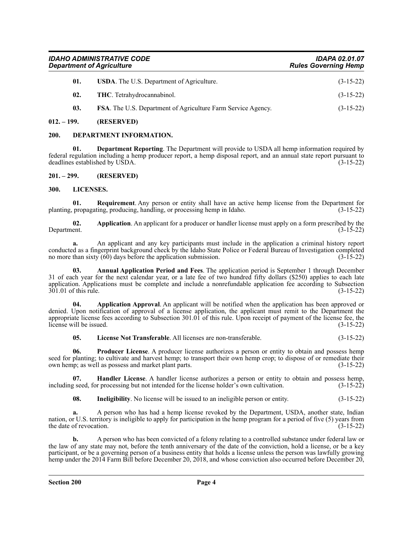| <b>IDAHO ADMINISTRATIVE CODE</b> | <b>IDAPA 02.01.07</b>       |
|----------------------------------|-----------------------------|
| <b>Department of Agriculture</b> | <b>Rules Governing Hemp</b> |

| 01. | <b>USDA.</b> The U.S. Department of Agriculture.                    | $(3-15-22)$ |
|-----|---------------------------------------------------------------------|-------------|
| 02. | <b>THC.</b> Tetrahydrocannabinol.                                   | $(3-15-22)$ |
| 03. | <b>FSA.</b> The U.S. Department of Agriculture Farm Service Agency. | $(3-15-22)$ |

#### <span id="page-3-0"></span>**012. – 199. (RESERVED)**

#### <span id="page-3-1"></span>**200. DEPARTMENT INFORMATION.**

**01. Department Reporting**. The Department will provide to USDA all hemp information required by federal regulation including a hemp producer report, a hemp disposal report, and an annual state report pursuant to deadlines established by USDA.

<span id="page-3-2"></span>**201. – 299. (RESERVED)**

#### <span id="page-3-3"></span>**300. LICENSES.**

**01. Requirement**. Any person or entity shall have an active hemp license from the Department for planting, propagating, producing, handling, or processing hemp in Idaho. (3-15-22)

**02.** Application. An applicant for a producer or handler license must apply on a form prescribed by the Department. (3-15-22) Department. (3-15-22)

**a.** An applicant and any key participants must include in the application a criminal history report conducted as a fingerprint background check by the Idaho State Police or Federal Bureau of Investigation completed no more than sixty  $(60)$  days before the application submission.  $(3-15-22)$ 

**03. Annual Application Period and Fees**. The application period is September 1 through December 31 of each year for the next calendar year, or a late fee of two hundred fifty dollars (\$250) applies to each late application. Applications must be complete and include a nonrefundable application fee according to Subsection 301.01 of this rule. (3-15-22)

**04. Application Approval**. An applicant will be notified when the application has been approved or denied. Upon notification of approval of a license application, the applicant must remit to the Department the appropriate license fees according to Subsection 301.01 of this rule. Upon receipt of payment of the license fee, the license will be issued.  $(3-15-22)$ 

**05. License Not Transferable**. All licenses are non-transferable. (3-15-22)

**06. Producer License**. A producer license authorizes a person or entity to obtain and possess hemp seed for planting; to cultivate and harvest hemp; to transport their own hemp crop; to dispose of or remediate their own hemp; as well as possess and market plant parts. (3-15-22)

**07. Handler License**. A handler license authorizes a person or entity to obtain and possess hemp, g seed, for processing but not intended for the license holder's own cultivation. (3-15-22) including seed, for processing but not intended for the license holder's own cultivation.

**08. Ineligibility**. No license will be issued to an ineligible person or entity. (3-15-22)

**a.** A person who has had a hemp license revoked by the Department, USDA, another state, Indian nation, or U.S. territory is ineligible to apply for participation in the hemp program for a period of five (5) years from the date of revocation.  $(3-15-22)$ 

**b.** A person who has been convicted of a felony relating to a controlled substance under federal law or the law of any state may not, before the tenth anniversary of the date of the conviction, hold a license, or be a key participant, or be a governing person of a business entity that holds a license unless the person was lawfully growing hemp under the 2014 Farm Bill before December 20, 2018, and whose conviction also occurred before December 20,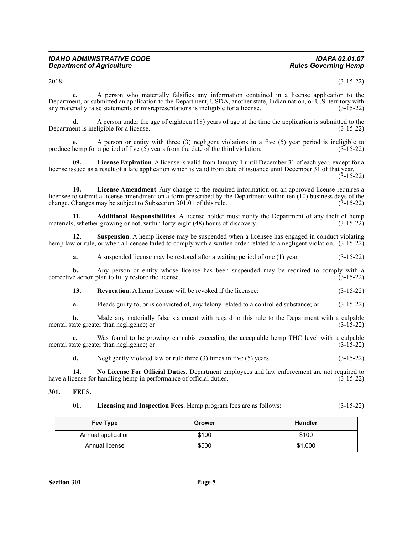2018. (3-15-22)

**c.** A person who materially falsifies any information contained in a license application to the Department, or submitted an application to the Department, USDA, another state, Indian nation, or U.S. territory with any materially false statements or misrepresentations is ineligible for a license.  $(3-15-22)$ 

**d.** A person under the age of eighteen (18) years of age at the time the application is submitted to the ent is ineligible for a license. Department is ineligible for a license.

**e.** A person or entity with three (3) negligent violations in a five (5) year period is ineligible to produce hemp for a period of five  $(5)$  years from the date of the third violation.  $(3-15-22)$ 

**09. License Expiration**. A license is valid from January 1 until December 31 of each year, except for a license issued as a result of a late application which is valid from date of issuance until December 31 of that year. (3-15-22)

**10. License Amendment**. Any change to the required information on an approved license requires a licensee to submit a license amendment on a form prescribed by the Department within ten (10) business days of the change. Changes may be subject to Subsection 301.01 of this rule. (3-15-22)

**11. Additional Responsibilities**. A license holder must notify the Department of any theft of hemp<br>s, whether growing or not, within forty-eight (48) hours of discovery. (3-15-22) materials, whether growing or not, within forty-eight (48) hours of discovery.

**12.** Suspension. A hemp license may be suspended when a licensee has engaged in conduct violating hemp law or rule, or when a licensee failed to comply with a written order related to a negligent violation. (3-15-22)

**a.** A suspended license may be restored after a waiting period of one (1) year. (3-15-22)

**b.** Any person or entity whose license has been suspended may be required to comply with a corrective action plan to fully restore the license. (3-15-22)

**13.** Revocation. A hemp license will be revoked if the licensee: (3-15-22)

**a.** Pleads guilty to, or is convicted of, any felony related to a controlled substance; or (3-15-22)

**b.** Made any materially false statement with regard to this rule to the Department with a culpable tate greater than negligence; or  $(3-15-22)$ mental state greater than negligence; or

**c.** Was found to be growing cannabis exceeding the acceptable hemp THC level with a culpable tate greater than negligence; or (3-15-22) mental state greater than negligence; or

**d.** Negligently violated law or rule three (3) times in five (5) years. (3-15-22)

**14. No License For Official Duties**. Department employees and law enforcement are not required to have a license for handling hemp in performance of official duties.

#### <span id="page-4-0"></span>**301. FEES.**

| 01. | Licensing and Inspection Fees. Hemp program fees are as follows: | $(3-15-22)$ |
|-----|------------------------------------------------------------------|-------------|
|-----|------------------------------------------------------------------|-------------|

| Fee Type           | Grower | <b>Handler</b> |
|--------------------|--------|----------------|
| Annual application | \$100  | \$100          |
| Annual license     | \$500  | \$1,000        |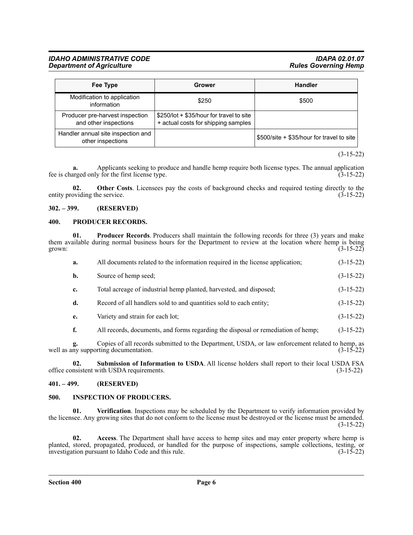#### *IDAHO ADMINISTRATIVE CODE IDAPA 02.01.07 Department of Agriculture*

| Fee Type                                                 | Grower                                                                          | <b>Handler</b>                            |  |
|----------------------------------------------------------|---------------------------------------------------------------------------------|-------------------------------------------|--|
| Modification to application<br>information               | \$250                                                                           | \$500                                     |  |
| Producer pre-harvest inspection<br>and other inspections | \$250/lot + \$35/hour for travel to site<br>+ actual costs for shipping samples |                                           |  |
| Handler annual site inspection and<br>other inspections  |                                                                                 | \$500/site + \$35/hour for travel to site |  |

(3-15-22)

**a.** Applicants seeking to produce and handle hemp require both license types. The annual application arged only for the first license type. (3-15-22) fee is charged only for the first license type.

**02.** Other Costs. Licensees pay the costs of background checks and required testing directly to the oviding the service. (3-15-22) entity providing the service.

#### <span id="page-5-0"></span>**302. – 399. (RESERVED)**

#### <span id="page-5-1"></span>**400. PRODUCER RECORDS.**

| grown: | 01. | <b>Producer Records.</b> Producers shall maintain the following records for three (3) years and make<br>them available during normal business hours for the Department to review at the location where hemp is being | $(3-15-22)$ |
|--------|-----|----------------------------------------------------------------------------------------------------------------------------------------------------------------------------------------------------------------------|-------------|
|        | a.  | All documents related to the information required in the license application;                                                                                                                                        | $(3-15-22)$ |
|        | b.  | Source of hemp seed;                                                                                                                                                                                                 | $(3-15-22)$ |
|        | c.  | Total acreage of industrial hemp planted, harvested, and disposed;                                                                                                                                                   | $(3-15-22)$ |
|        | d.  | Record of all handlers sold to and quantities sold to each entity;                                                                                                                                                   | $(3-15-22)$ |
|        | e.  | Variety and strain for each lot;                                                                                                                                                                                     | $(3-15-22)$ |
|        | f.  | All records, documents, and forms regarding the disposal or remediation of hemp;                                                                                                                                     | $(3-15-22)$ |
|        |     | $\alpha$ , $\alpha$ if $\alpha$ is the contract of $\alpha$ is the contract of $\alpha$ is the contract of $\alpha$                                                                                                  |             |

**g.** Copies of all records submitted to the Department, USDA, or law enforcement related to hemp, as well as any supporting documentation. (3-15-22)

**02. Submission of Information to USDA**. All license holders shall report to their local USDA FSA office consistent with USDA requirements. (3-15-22)

#### <span id="page-5-2"></span>**401. – 499. (RESERVED)**

#### <span id="page-5-3"></span>**500. INSPECTION OF PRODUCERS.**

**01. Verification**. Inspections may be scheduled by the Department to verify information provided by the licensee. Any growing sites that do not conform to the license must be destroyed or the license must be amended. (3-15-22)

**02. Access**. The Department shall have access to hemp sites and may enter property where hemp is planted, stored, propagated, produced, or handled for the purpose of inspections, sample collections, testing, or investigation pursuant to Idaho Code and this rule. (3-15-22)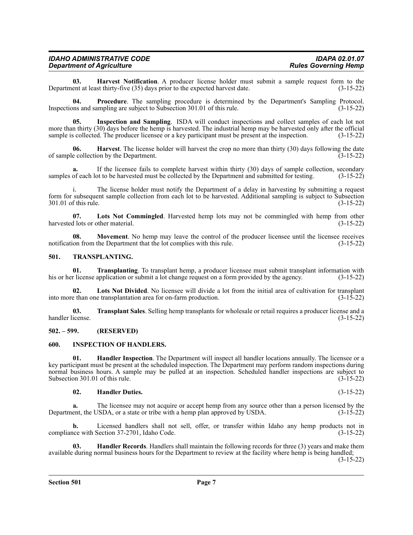| <b>IDAHO ADMINISTRATIVE CODE</b> | <b>IDAPA 02.01.07</b>       |
|----------------------------------|-----------------------------|
| <b>Department of Agriculture</b> | <b>Rules Governing Hemp</b> |

**03. Harvest Notification**. A producer license holder must submit a sample request form to the expected harvest date. (3-15-22) Department at least thirty-five  $(35)$  days prior to the expected harvest date.

**04. Procedure**. The sampling procedure is determined by the Department's Sampling Protocol. Inspections and sampling are subject to Subsection 301.01 of this rule. (3-15-22)

**05. Inspection and Sampling**. ISDA will conduct inspections and collect samples of each lot not more than thirty (30) days before the hemp is harvested. The industrial hemp may be harvested only after the official sample is collected. The producer licensee or a key participant must be present at the inspection. (3-15-22)

**06. Harvest**. The license holder will harvest the crop no more than thirty (30) days following the date of sample collection by the Department. (3-15-22)

**a.** If the licensee fails to complete harvest within thirty (30) days of sample collection, secondary samples of each lot to be harvested must be collected by the Department and submitted for testing. (3-15-22)

i. The license holder must notify the Department of a delay in harvesting by submitting a request form for subsequent sample collection from each lot to be harvested. Additional sampling is subject to Subsection 301.01 of this rule. (3-15-22)

**07.** Lots Not Commingled. Harvested hemp lots may not be commingled with hemp from other 1 lots or other material. (3-15-22) harvested lots or other material.

**08.** Movement. No hemp may leave the control of the producer licensee until the licensee receives notification from the Department that the lot complies with this rule. (3-15-22)

#### <span id="page-6-0"></span>**501. TRANSPLANTING.**

**01. Transplanting**. To transplant hemp, a producer licensee must submit transplant information with his or her license application or submit a lot change request on a form provided by the agency. (3-15-22)

**02. Lots Not Divided**. No licensee will divide a lot from the initial area of cultivation for transplant into more than one transplantation area for on-farm production. (3-15-22)

**03. Transplant Sales**. Selling hemp transplants for wholesale or retail requires a producer license and a handler license. (3-15-22)

#### <span id="page-6-1"></span>**502. – 599. (RESERVED)**

#### <span id="page-6-2"></span>**600. INSPECTION OF HANDLERS.**

**01. Handler Inspection**. The Department will inspect all handler locations annually. The licensee or a key participant must be present at the scheduled inspection. The Department may perform random inspections during normal business hours. A sample may be pulled at an inspection. Scheduled handler inspections are subject to Subsection 301.01 of this rule.  $(3-15-22)$ 

#### **02. Handler Duties.** (3-15-22)

**a.** The licensee may not acquire or accept hemp from any source other than a person licensed by the ent, the USDA, or a state or tribe with a hemp plan approved by USDA. (3-15-22) Department, the USDA, or a state or tribe with a hemp plan approved by USDA.

**b.** Licensed handlers shall not sell, offer, or transfer within Idaho any hemp products not in compliance with Section 37-2701, Idaho Code. (3-15-22)

**03. Handler Records**. Handlers shall maintain the following records for three (3) years and make them available during normal business hours for the Department to review at the facility where hemp is being handled;

(3-15-22)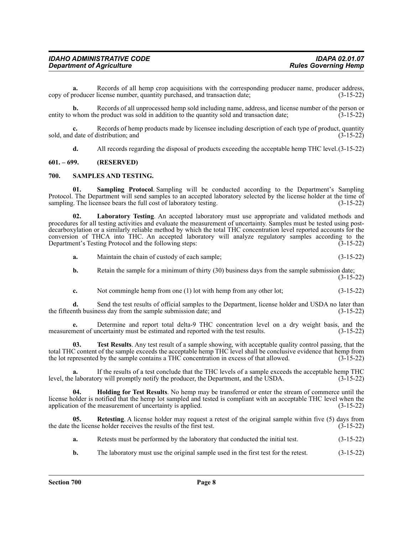| <b>IDAHO ADMINISTRATIVE CODE</b> | <b>IDAPA 02.01.07</b>       |
|----------------------------------|-----------------------------|
| <b>Department of Agriculture</b> | <b>Rules Governing Hemp</b> |

**a.** Records of all hemp crop acquisitions with the corresponding producer name, producer address, copy of producer license number, quantity purchased, and transaction date; (3-15-22)

**b.** Records of all unprocessed hemp sold including name, address, and license number of the person or entity to whom the product was sold in addition to the quantity sold and transaction date; (3-15-22)

**c.** Records of hemp products made by licensee including description of each type of product, quantity sold, and date of distribution; and (3-15-22)

**d.** All records regarding the disposal of products exceeding the acceptable hemp THC level.  $(3-15-22)$ 

#### <span id="page-7-0"></span>**601. – 699. (RESERVED)**

#### <span id="page-7-1"></span>**700. SAMPLES AND TESTING.**

**01. Sampling Protocol**. Sampling will be conducted according to the Department's Sampling Protocol. The Department will send samples to an accepted laboratory selected by the license holder at the time of sampling. The licensee bears the full cost of laboratory testing. (3-15-22)

**02. Laboratory Testing**. An accepted laboratory must use appropriate and validated methods and procedures for all testing activities and evaluate the measurement of uncertainty. Samples must be tested using postdecarboxylation or a similarly reliable method by which the total THC concentration level reported accounts for the conversion of THCA into THC. An accepted laboratory will analyze regulatory samples according to the Department's Testing Protocol and the following steps: (3-15-22)

**a.** Maintain the chain of custody of each sample; (3-15-22)

- **b.** Retain the sample for a minimum of thirty (30) business days from the sample submission date; (3-15-22)
- **c.** Not commingle hemp from one (1) lot with hemp from any other lot; (3-15-22)

**d.** Send the test results of official samples to the Department, license holder and USDA no later than the business day from the sample submission date; and (3-15-22) the fifteenth business day from the sample submission date; and

**e.** Determine and report total delta-9 THC concentration level on a dry weight basis, and the measurement of uncertainty must be estimated and reported with the test results. (3-15-22)

**03. Test Results**. Any test result of a sample showing, with acceptable quality control passing, that the total THC content of the sample exceeds the acceptable hemp THC level shall be conclusive evidence that hemp from the lot represented by the sample contains a THC concentration in excess of that allowed. (3-15-22)

**a.** If the results of a test conclude that the THC levels of a sample exceeds the acceptable hemp THC level, the laboratory will promptly notify the producer, the Department, and the USDA. (3-15-22)

**04. Holding for Test Results**. No hemp may be transferred or enter the stream of commerce until the license holder is notified that the hemp lot sampled and tested is compliant with an acceptable THC level when the application of the measurement of uncertainty is applied. (3-15-22)

**05. Retesting**. A license holder may request a retest of the original sample within five (5) days from the date the license holder receives the results of the first test. (3-15-22)

- **a.** Retests must be performed by the laboratory that conducted the initial test.  $(3-15-22)$
- **b.** The laboratory must use the original sample used in the first test for the retest.  $(3-15-22)$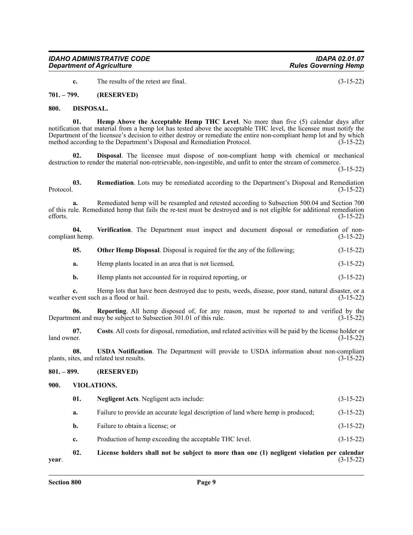**c.** The results of the retest are final. (3-15-22)

<span id="page-8-0"></span>**701. – 799. (RESERVED)**

#### <span id="page-8-1"></span>**800. DISPOSAL.**

**01. Hemp Above the Acceptable Hemp THC Level**. No more than five (5) calendar days after notification that material from a hemp lot has tested above the acceptable THC level, the licensee must notify the Department of the licensee's decision to either destroy or remediate the entire non-compliant hemp lot and by which method according to the Department's Disposal and Remediation Protocol. (3-15-22)

**02. Disposal**. The licensee must dispose of non-compliant hemp with chemical or mechanical destruction to render the material non-retrievable, non-ingestible, and unfit to enter the stream of commerce.

(3-15-22)

**03.** Remediation. Lots may be remediated according to the Department's Disposal and Remediation Protocol. (3-15-22) Protocol. (3-15-22)

**a.** Remediated hemp will be resampled and retested according to Subsection 500.04 and Section 700 of this rule. Remediated hemp that fails the re-test must be destroyed and is not eligible for additional remediation efforts.  $(3-15-22)$ 

**04. Verification**. The Department must inspect and document disposal or remediation of noncompliant hemp. (3-15-22)

**05. Other Hemp Disposal**. Disposal is required for the any of the following; (3-15-22)

**a.** Hemp plants located in an area that is not licensed, (3-15-22)

**b.** Hemp plants not accounted for in required reporting, or  $(3-15-22)$ 

**c.** Hemp lots that have been destroyed due to pests, weeds, disease, poor stand, natural disaster, or a weather event such as a flood or hail. (3-15-22)

**06. Reporting**. All hemp disposed of, for any reason, must be reported to and verified by the Department and may be subject to Subsection 301.01 of this rule. (3-15-22)

**07. Costs**. All costs for disposal, remediation, and related activities will be paid by the license holder or  $\lambda$ land owner. (3-15-22)

**08. USDA Notification**. The Department will provide to USDA information about non-compliant plants, sites, and related test results. (3-15-22)

#### <span id="page-8-2"></span>**801. – 899. (RESERVED)**

#### <span id="page-8-3"></span>**900. VIOLATIONS.**

| $\mathbf{A}$ | I isanaa kaldana akall nad ka sukisad da mana dhan ana (1) nasaliwand wisladian nan salandan . |             |
|--------------|------------------------------------------------------------------------------------------------|-------------|
| c.           | Production of hemp exceeding the acceptable THC level.                                         | $(3-15-22)$ |
| b.           | Failure to obtain a license; or                                                                | $(3-15-22)$ |
| a.           | Failure to provide an accurate legal description of land where hemp is produced;               | $(3-15-22)$ |
| 01.          | <b>Negligent Acts.</b> Negligent acts include:                                                 | $(3-15-22)$ |

**02. License holders shall not be subject to more than one (1) negligent violation per calendar year**. (3-15-22)